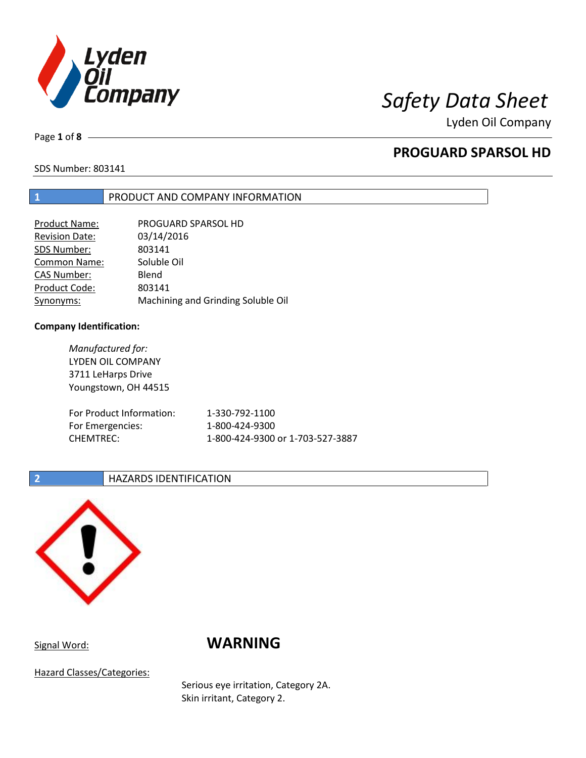

Lyden Oil Company

Page **1** of **8**

# **PROGUARD SPARSOL HD**

SDS Number: 803141

## **1** PRODUCT AND COMPANY INFORMATION

| <b>Product Name:</b>  | PROGUARD SPARSOL HD                |
|-----------------------|------------------------------------|
| <b>Revision Date:</b> | 03/14/2016                         |
| SDS Number:           | 803141                             |
| <b>Common Name:</b>   | Soluble Oil                        |
| <b>CAS Number:</b>    | Blend                              |
| Product Code:         | 803141                             |
| Synonyms:             | Machining and Grinding Soluble Oil |

## **Company Identification:**

*Manufactured for:* LYDEN OIL COMPANY 3711 LeHarps Drive Youngstown, OH 44515 For Product Information: 1-330-792-1100 For Emergencies: 1-800-424-9300 CHEMTREC: 1-800-424-9300 or 1-703-527-3887

## **2 HAZARDS IDENTIFICATION**



# Signal Word: **WARNING**

Hazard Classes/Categories:

Serious eye irritation, Category 2A. Skin irritant, Category 2.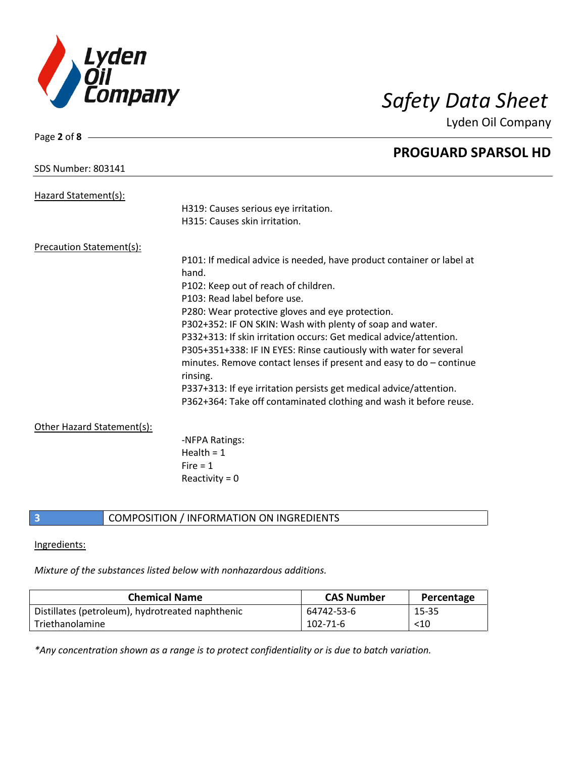

Page **2** of **8**

Lyden Oil Company

|                                 | <b>PROGUARD SPARSOL HD</b>                                                        |
|---------------------------------|-----------------------------------------------------------------------------------|
| <b>SDS Number: 803141</b>       |                                                                                   |
| Hazard Statement(s):            |                                                                                   |
|                                 | H319: Causes serious eye irritation.                                              |
|                                 | H315: Causes skin irritation.                                                     |
| <b>Precaution Statement(s):</b> |                                                                                   |
|                                 | P101: If medical advice is needed, have product container or label at             |
|                                 | hand.                                                                             |
|                                 | P102: Keep out of reach of children.                                              |
|                                 | P103: Read label before use.                                                      |
|                                 | P280: Wear protective gloves and eye protection.                                  |
|                                 | P302+352: IF ON SKIN: Wash with plenty of soap and water.                         |
|                                 | P332+313: If skin irritation occurs: Get medical advice/attention.                |
|                                 | P305+351+338: IF IN EYES: Rinse cautiously with water for several                 |
|                                 | minutes. Remove contact lenses if present and easy to $do$ – continue<br>rinsing. |
|                                 | P337+313: If eye irritation persists get medical advice/attention.                |
|                                 | P362+364: Take off contaminated clothing and wash it before reuse.                |
| Other Hazard Statement(s):      |                                                                                   |
|                                 | -NFPA Ratings:                                                                    |
|                                 | Health = $1$                                                                      |
|                                 | Fire $= 1$                                                                        |
|                                 | Reactivity = $0$                                                                  |
|                                 |                                                                                   |

**3** COMPOSITION / INFORMATION ON INGREDIENTS

## Ingredients:

*Mixture of the substances listed below with nonhazardous additions.*

| <b>Chemical Name</b>                             | <b>CAS Number</b> | Percentage |
|--------------------------------------------------|-------------------|------------|
| Distillates (petroleum), hydrotreated naphthenic | 64742-53-6        | 15-35      |
| l Triethanolamine                                | $102 - 71 - 6$    | $<$ 10     |

*\*Any concentration shown as a range is to protect confidentiality or is due to batch variation.*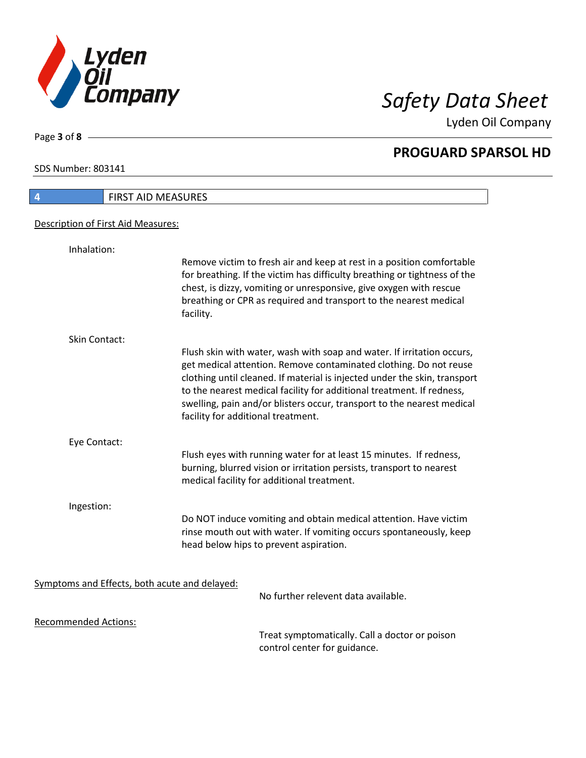

Lyden Oil Company

SDS Number: 803141

Page **3** of **8**

# **4** FIRST AID MEASURES Description of First Aid Measures: Inhalation: Remove victim to fresh air and keep at rest in a position comfortable for breathing. If the victim has difficulty breathing or tightness of the chest, is dizzy, vomiting or unresponsive, give oxygen with rescue breathing or CPR as required and transport to the nearest medical facility. Skin Contact: Flush skin with water, wash with soap and water. If irritation occurs, get medical attention. Remove contaminated clothing. Do not reuse clothing until cleaned. If material is injected under the skin, transport to the nearest medical facility for additional treatment. If redness, swelling, pain and/or blisters occur, transport to the nearest medical facility for additional treatment. Eye Contact: Flush eyes with running water for at least 15 minutes. If redness, burning, blurred vision or irritation persists, transport to nearest medical facility for additional treatment. Ingestion: Do NOT induce vomiting and obtain medical attention. Have victim rinse mouth out with water. If vomiting occurs spontaneously, keep head below hips to prevent aspiration. Symptoms and Effects, both acute and delayed: No further relevent data available. Recommended Actions:

Treat symptomatically. Call a doctor or poison control center for guidance.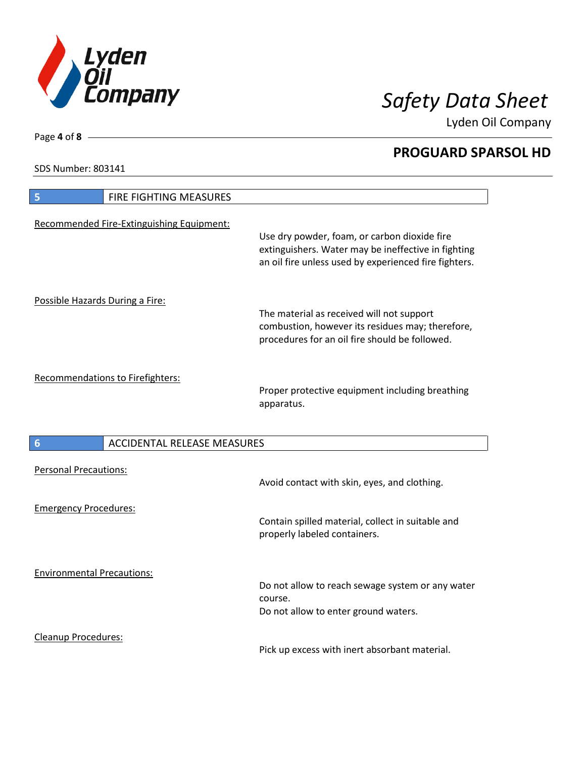

Lyden Oil Company

SDS Number: 803141

Cleanup Procedures:

| FIRE FIGHTING MEASURES<br>5               |                                                                                                                                                              |
|-------------------------------------------|--------------------------------------------------------------------------------------------------------------------------------------------------------------|
| Recommended Fire-Extinguishing Equipment: | Use dry powder, foam, or carbon dioxide fire<br>extinguishers. Water may be ineffective in fighting<br>an oil fire unless used by experienced fire fighters. |
| Possible Hazards During a Fire:           | The material as received will not support<br>combustion, however its residues may; therefore,<br>procedures for an oil fire should be followed.              |
| <b>Recommendations to Firefighters:</b>   | Proper protective equipment including breathing<br>apparatus.                                                                                                |
| <b>ACCIDENTAL RELEASE MEASURES</b><br>6   |                                                                                                                                                              |
| <b>Personal Precautions:</b>              | Avoid contact with skin, eyes, and clothing.                                                                                                                 |
| <b>Emergency Procedures:</b>              | Contain spilled material, collect in suitable and<br>properly labeled containers.                                                                            |
| <b>Environmental Precautions:</b>         | Do not allow to reach sewage system or any water<br>course.<br>Do not allow to enter ground waters.                                                          |

Pick up excess with inert absorbant material.

Page **4** of **8**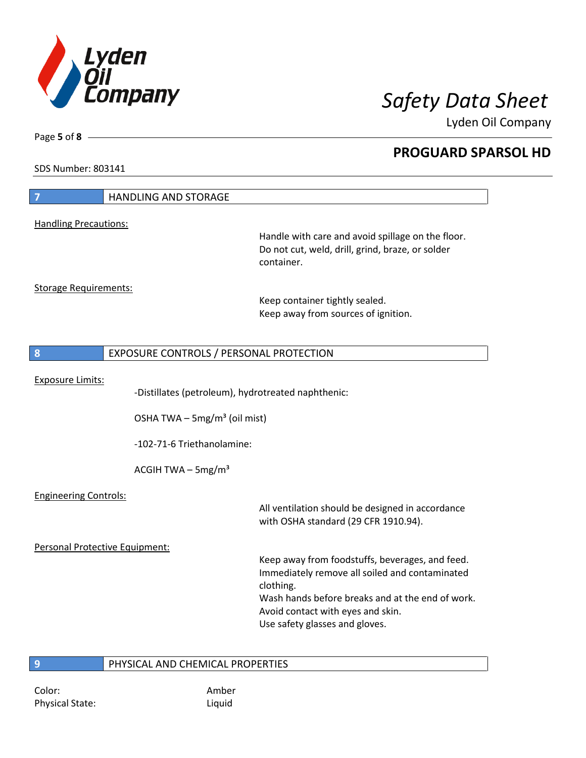

Lyden Oil Company

SDS Number: 803141

Page **5** of **8**

| $\overline{7}$                 | <b>HANDLING AND STORAGE</b>                        |                                                                                                                         |
|--------------------------------|----------------------------------------------------|-------------------------------------------------------------------------------------------------------------------------|
| <b>Handling Precautions:</b>   |                                                    |                                                                                                                         |
|                                |                                                    | Handle with care and avoid spillage on the floor.<br>Do not cut, weld, drill, grind, braze, or solder<br>container.     |
| <b>Storage Requirements:</b>   |                                                    |                                                                                                                         |
|                                |                                                    | Keep container tightly sealed.                                                                                          |
|                                |                                                    | Keep away from sources of ignition.                                                                                     |
| 8                              | EXPOSURE CONTROLS / PERSONAL PROTECTION            |                                                                                                                         |
| <b>Exposure Limits:</b>        |                                                    |                                                                                                                         |
|                                | -Distillates (petroleum), hydrotreated naphthenic: |                                                                                                                         |
|                                | OSHA TWA $-$ 5mg/m <sup>3</sup> (oil mist)         |                                                                                                                         |
|                                | -102-71-6 Triethanolamine:                         |                                                                                                                         |
|                                | ACGIH TWA $-$ 5mg/m <sup>3</sup>                   |                                                                                                                         |
| <b>Engineering Controls:</b>   |                                                    |                                                                                                                         |
|                                |                                                    | All ventilation should be designed in accordance<br>with OSHA standard (29 CFR 1910.94).                                |
| Personal Protective Equipment: |                                                    |                                                                                                                         |
|                                |                                                    | Keep away from foodstuffs, beverages, and feed.<br>Immediately remove all soiled and contaminated<br>clothing.          |
|                                |                                                    | Wash hands before breaks and at the end of work.<br>Avoid contact with eyes and skin.<br>Use safety glasses and gloves. |
|                                |                                                    |                                                                                                                         |
| 9                              | PHYSICAL AND CHEMICAL PROPERTIES                   |                                                                                                                         |

Color: Amber Physical State: Liquid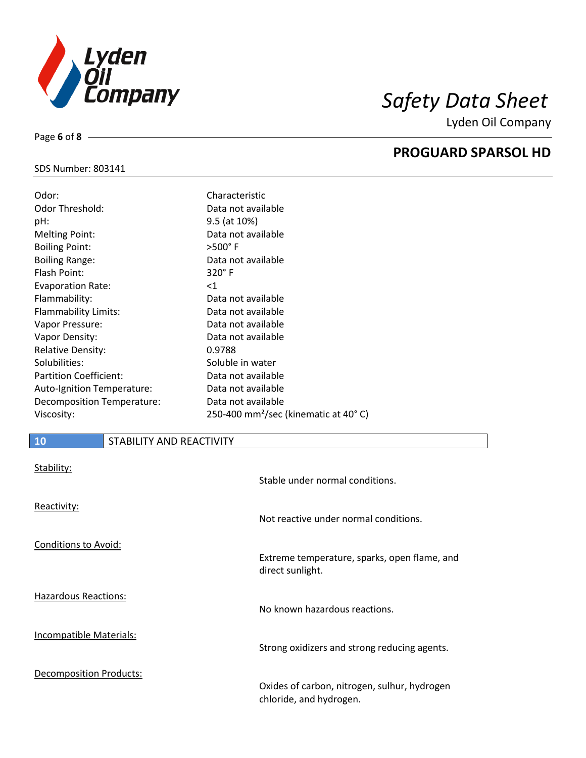

Lyden Oil Company

## SDS Number: 803141

Page **6** of **8**

| Odor:                         | Characteristic                                    |
|-------------------------------|---------------------------------------------------|
| <b>Odor Threshold:</b>        | Data not available                                |
| pH:                           | 9.5 (at 10%)                                      |
| <b>Melting Point:</b>         | Data not available                                |
| <b>Boiling Point:</b>         | $>500^\circ$ F                                    |
| <b>Boiling Range:</b>         | Data not available                                |
| Flash Point:                  | $320^\circ$ F                                     |
| <b>Evaporation Rate:</b>      | ${<}1$                                            |
| Flammability:                 | Data not available                                |
| Flammability Limits:          | Data not available                                |
| Vapor Pressure:               | Data not available                                |
| Vapor Density:                | Data not available                                |
| <b>Relative Density:</b>      | 0.9788                                            |
| Solubilities:                 | Soluble in water                                  |
| <b>Partition Coefficient:</b> | Data not available                                |
| Auto-Ignition Temperature:    | Data not available                                |
| Decomposition Temperature:    | Data not available                                |
| Viscosity:                    | 250-400 mm <sup>2</sup> /sec (kinematic at 40° C) |

## **10** STABILITY AND REACTIVITY

| Stability:                  | Stable under normal conditions.                                         |
|-----------------------------|-------------------------------------------------------------------------|
| Reactivity:                 | Not reactive under normal conditions.                                   |
| <b>Conditions to Avoid:</b> | Extreme temperature, sparks, open flame, and<br>direct sunlight.        |
| <b>Hazardous Reactions:</b> | No known hazardous reactions.                                           |
| Incompatible Materials:     | Strong oxidizers and strong reducing agents.                            |
| Decomposition Products:     | Oxides of carbon, nitrogen, sulhur, hydrogen<br>chloride, and hydrogen. |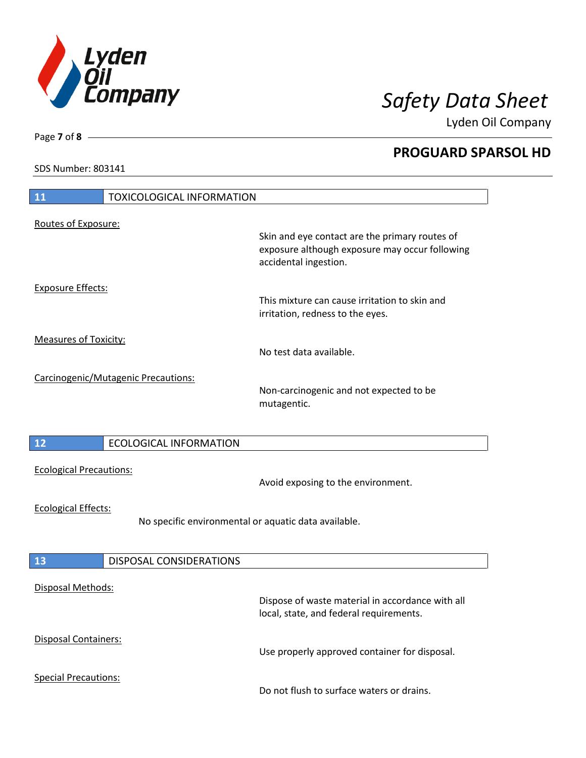

Lyden Oil Company

SDS Number: 803141

| 11<br><b>TOXICOLOGICAL INFORMATION</b>                                             |                                                                                                                           |
|------------------------------------------------------------------------------------|---------------------------------------------------------------------------------------------------------------------------|
| Routes of Exposure:                                                                | Skin and eye contact are the primary routes of<br>exposure although exposure may occur following<br>accidental ingestion. |
| <b>Exposure Effects:</b>                                                           | This mixture can cause irritation to skin and<br>irritation, redness to the eyes.                                         |
| <b>Measures of Toxicity:</b>                                                       | No test data available.                                                                                                   |
| Carcinogenic/Mutagenic Precautions:                                                | Non-carcinogenic and not expected to be<br>mutagentic.                                                                    |
| 12<br><b>ECOLOGICAL INFORMATION</b>                                                |                                                                                                                           |
| <b>Ecological Precautions:</b>                                                     | Avoid exposing to the environment.                                                                                        |
| <b>Ecological Effects:</b><br>No specific environmental or aquatic data available. |                                                                                                                           |
| <b>DISPOSAL CONSIDERATIONS</b><br>13                                               |                                                                                                                           |
| <b>Disposal Methods:</b>                                                           | Dispose of waste material in accordance with all<br>local, state, and federal requirements.                               |
| Disposal Containers:                                                               | Use properly approved container for disposal.                                                                             |
| <b>Special Precautions:</b>                                                        | Do not flush to surface waters or drains.                                                                                 |

Page **7** of **8**